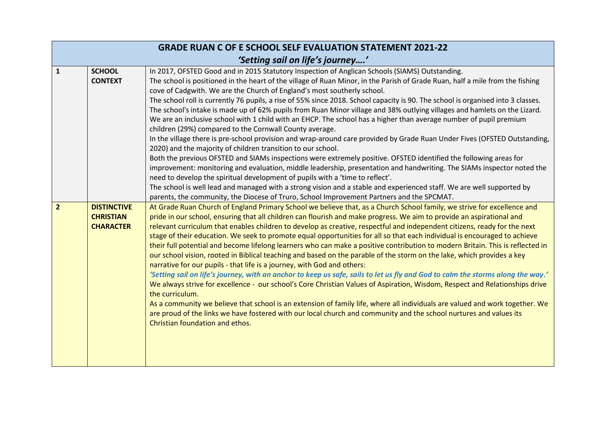| <b>GRADE RUAN C OF E SCHOOL SELF EVALUATION STATEMENT 2021-22</b> |                                                            |                                                                                                                                                                                                                                                                                                                                                                                                                                                                                                                                                                                                                                                                                                                                                                                                                                                                                                                                                                                                                                                                                                                                                                                                                                                                                                                                                                                                                                                                                                                 |  |  |
|-------------------------------------------------------------------|------------------------------------------------------------|-----------------------------------------------------------------------------------------------------------------------------------------------------------------------------------------------------------------------------------------------------------------------------------------------------------------------------------------------------------------------------------------------------------------------------------------------------------------------------------------------------------------------------------------------------------------------------------------------------------------------------------------------------------------------------------------------------------------------------------------------------------------------------------------------------------------------------------------------------------------------------------------------------------------------------------------------------------------------------------------------------------------------------------------------------------------------------------------------------------------------------------------------------------------------------------------------------------------------------------------------------------------------------------------------------------------------------------------------------------------------------------------------------------------------------------------------------------------------------------------------------------------|--|--|
|                                                                   | 'Setting sail on life's journey'                           |                                                                                                                                                                                                                                                                                                                                                                                                                                                                                                                                                                                                                                                                                                                                                                                                                                                                                                                                                                                                                                                                                                                                                                                                                                                                                                                                                                                                                                                                                                                 |  |  |
| $\mathbf 1$                                                       | <b>SCHOOL</b><br><b>CONTEXT</b>                            | In 2017, OFSTED Good and in 2015 Statutory Inspection of Anglican Schools (SIAMS) Outstanding.<br>The school is positioned in the heart of the village of Ruan Minor, in the Parish of Grade Ruan, half a mile from the fishing<br>cove of Cadgwith. We are the Church of England's most southerly school.<br>The school roll is currently 76 pupils, a rise of 55% since 2018. School capacity is 90. The school is organised into 3 classes.<br>The school's intake is made up of 62% pupils from Ruan Minor village and 38% outlying villages and hamlets on the Lizard.<br>We are an inclusive school with 1 child with an EHCP. The school has a higher than average number of pupil premium<br>children (29%) compared to the Cornwall County average.<br>In the village there is pre-school provision and wrap-around care provided by Grade Ruan Under Fives (OFSTED Outstanding,<br>2020) and the majority of children transition to our school.<br>Both the previous OFSTED and SIAMs inspections were extremely positive. OFSTED identified the following areas for<br>improvement: monitoring and evaluation, middle leadership, presentation and handwriting. The SIAMs inspector noted the<br>need to develop the spiritual development of pupils with a 'time to reflect'.<br>The school is well lead and managed with a strong vision and a stable and experienced staff. We are well supported by<br>parents, the community, the Diocese of Truro, School Improvement Partners and the SPCMAT. |  |  |
| $\overline{2}$                                                    | <b>DISTINCTIVE</b><br><b>CHRISTIAN</b><br><b>CHARACTER</b> | At Grade Ruan Church of England Primary School we believe that, as a Church School family, we strive for excellence and<br>pride in our school, ensuring that all children can flourish and make progress. We aim to provide an aspirational and<br>relevant curriculum that enables children to develop as creative, respectful and independent citizens, ready for the next<br>stage of their education. We seek to promote equal opportunities for all so that each individual is encouraged to achieve<br>their full potential and become lifelong learners who can make a positive contribution to modern Britain. This is reflected in<br>our school vision, rooted in Biblical teaching and based on the parable of the storm on the lake, which provides a key<br>narrative for our pupils - that life is a journey, with God and others:<br>'Setting sail on life's journey, with an anchor to keep us safe, sails to let us fly and God to calm the storms along the way.'<br>We always strive for excellence - our school's Core Christian Values of Aspiration, Wisdom, Respect and Relationships drive<br>the curriculum.<br>As a community we believe that school is an extension of family life, where all individuals are valued and work together. We<br>are proud of the links we have fostered with our local church and community and the school nurtures and values its<br>Christian foundation and ethos.                                                                                 |  |  |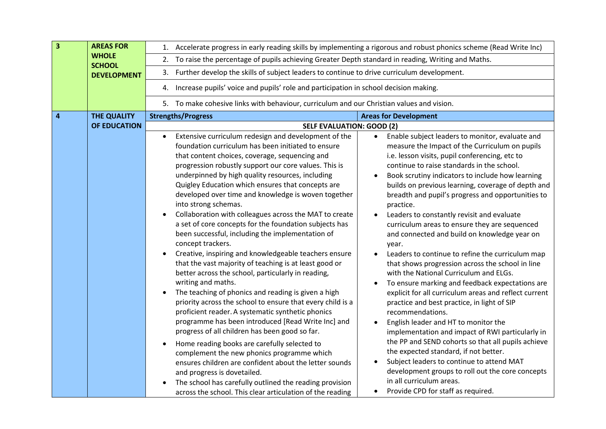| 3 | <b>AREAS FOR</b>              | 1. Accelerate progress in early reading skills by implementing a rigorous and robust phonics scheme (Read Write Inc)<br>To raise the percentage of pupils achieving Greater Depth standard in reading, Writing and Maths.<br>2.                                                                                                                                                                                                                                                                                                                                                                                                                                                                                                                                                                                                                                                                                                                                                                                                                                                                                                                                                                                                                                                                                                                                                                                                                                                                                                                                                                                                                                                                                                                                                                                                                                                                                                                                                                                                                                                                                                                                                                                                                                                                                                                                                                                                                                                                                                                                                                                                                                              |  |  |
|---|-------------------------------|------------------------------------------------------------------------------------------------------------------------------------------------------------------------------------------------------------------------------------------------------------------------------------------------------------------------------------------------------------------------------------------------------------------------------------------------------------------------------------------------------------------------------------------------------------------------------------------------------------------------------------------------------------------------------------------------------------------------------------------------------------------------------------------------------------------------------------------------------------------------------------------------------------------------------------------------------------------------------------------------------------------------------------------------------------------------------------------------------------------------------------------------------------------------------------------------------------------------------------------------------------------------------------------------------------------------------------------------------------------------------------------------------------------------------------------------------------------------------------------------------------------------------------------------------------------------------------------------------------------------------------------------------------------------------------------------------------------------------------------------------------------------------------------------------------------------------------------------------------------------------------------------------------------------------------------------------------------------------------------------------------------------------------------------------------------------------------------------------------------------------------------------------------------------------------------------------------------------------------------------------------------------------------------------------------------------------------------------------------------------------------------------------------------------------------------------------------------------------------------------------------------------------------------------------------------------------------------------------------------------------------------------------------------------------|--|--|
|   | <b>WHOLE</b><br><b>SCHOOL</b> |                                                                                                                                                                                                                                                                                                                                                                                                                                                                                                                                                                                                                                                                                                                                                                                                                                                                                                                                                                                                                                                                                                                                                                                                                                                                                                                                                                                                                                                                                                                                                                                                                                                                                                                                                                                                                                                                                                                                                                                                                                                                                                                                                                                                                                                                                                                                                                                                                                                                                                                                                                                                                                                                              |  |  |
|   | <b>DEVELOPMENT</b>            | Further develop the skills of subject leaders to continue to drive curriculum development.<br>3.                                                                                                                                                                                                                                                                                                                                                                                                                                                                                                                                                                                                                                                                                                                                                                                                                                                                                                                                                                                                                                                                                                                                                                                                                                                                                                                                                                                                                                                                                                                                                                                                                                                                                                                                                                                                                                                                                                                                                                                                                                                                                                                                                                                                                                                                                                                                                                                                                                                                                                                                                                             |  |  |
|   |                               | 4. Increase pupils' voice and pupils' role and participation in school decision making.                                                                                                                                                                                                                                                                                                                                                                                                                                                                                                                                                                                                                                                                                                                                                                                                                                                                                                                                                                                                                                                                                                                                                                                                                                                                                                                                                                                                                                                                                                                                                                                                                                                                                                                                                                                                                                                                                                                                                                                                                                                                                                                                                                                                                                                                                                                                                                                                                                                                                                                                                                                      |  |  |
|   |                               | 5. To make cohesive links with behaviour, curriculum and our Christian values and vision.                                                                                                                                                                                                                                                                                                                                                                                                                                                                                                                                                                                                                                                                                                                                                                                                                                                                                                                                                                                                                                                                                                                                                                                                                                                                                                                                                                                                                                                                                                                                                                                                                                                                                                                                                                                                                                                                                                                                                                                                                                                                                                                                                                                                                                                                                                                                                                                                                                                                                                                                                                                    |  |  |
| 4 | <b>THE QUALITY</b>            | <b>Strengths/Progress</b><br><b>Areas for Development</b>                                                                                                                                                                                                                                                                                                                                                                                                                                                                                                                                                                                                                                                                                                                                                                                                                                                                                                                                                                                                                                                                                                                                                                                                                                                                                                                                                                                                                                                                                                                                                                                                                                                                                                                                                                                                                                                                                                                                                                                                                                                                                                                                                                                                                                                                                                                                                                                                                                                                                                                                                                                                                    |  |  |
|   | <b>OF EDUCATION</b>           | <b>SELF EVALUATION: GOOD (2)</b>                                                                                                                                                                                                                                                                                                                                                                                                                                                                                                                                                                                                                                                                                                                                                                                                                                                                                                                                                                                                                                                                                                                                                                                                                                                                                                                                                                                                                                                                                                                                                                                                                                                                                                                                                                                                                                                                                                                                                                                                                                                                                                                                                                                                                                                                                                                                                                                                                                                                                                                                                                                                                                             |  |  |
|   |                               | Extensive curriculum redesign and development of the<br>Enable subject leaders to monitor, evaluate and<br>$\bullet$<br>foundation curriculum has been initiated to ensure<br>measure the Impact of the Curriculum on pupils<br>that content choices, coverage, sequencing and<br>i.e. lesson visits, pupil conferencing, etc to<br>continue to raise standards in the school.<br>progression robustly support our core values. This is<br>underpinned by high quality resources, including<br>Book scrutiny indicators to include how learning<br>Quigley Education which ensures that concepts are<br>builds on previous learning, coverage of depth and<br>developed over time and knowledge is woven together<br>breadth and pupil's progress and opportunities to<br>into strong schemas.<br>practice.<br>Collaboration with colleagues across the MAT to create<br>Leaders to constantly revisit and evaluate<br>a set of core concepts for the foundation subjects has<br>curriculum areas to ensure they are sequenced<br>been successful, including the implementation of<br>and connected and build on knowledge year on<br>concept trackers.<br>year.<br>Creative, inspiring and knowledgeable teachers ensure<br>Leaders to continue to refine the curriculum map<br>that the vast majority of teaching is at least good or<br>that shows progression across the school in line<br>better across the school, particularly in reading,<br>with the National Curriculum and ELGs.<br>writing and maths.<br>To ensure marking and feedback expectations are<br>The teaching of phonics and reading is given a high<br>explicit for all curriculum areas and reflect current<br>priority across the school to ensure that every child is a<br>practice and best practice, in light of SIP<br>proficient reader. A systematic synthetic phonics<br>recommendations.<br>programme has been introduced [Read Write Inc] and<br>English leader and HT to monitor the<br>$\bullet$<br>progress of all children has been good so far.<br>implementation and impact of RWI particularly in<br>the PP and SEND cohorts so that all pupils achieve<br>Home reading books are carefully selected to<br>the expected standard, if not better.<br>complement the new phonics programme which<br>Subject leaders to continue to attend MAT<br>ensures children are confident about the letter sounds<br>development groups to roll out the core concepts<br>and progress is dovetailed.<br>in all curriculum areas.<br>The school has carefully outlined the reading provision<br>Provide CPD for staff as required.<br>across the school. This clear articulation of the reading |  |  |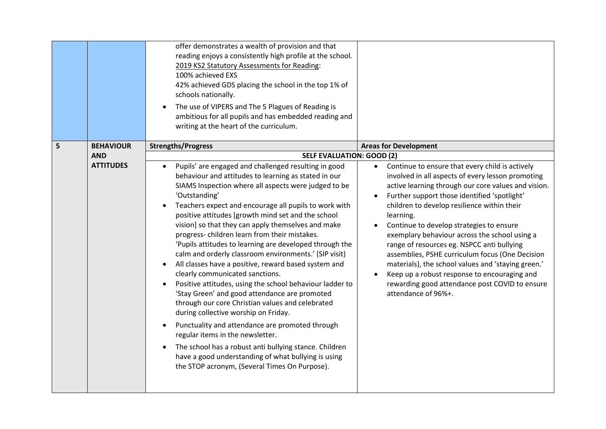|   |                  | offer demonstrates a wealth of provision and that<br>reading enjoys a consistently high profile at the school.<br>2019 KS2 Statutory Assessments for Reading:<br>100% achieved EXS<br>42% achieved GDS placing the school in the top 1% of<br>schools nationally.<br>The use of VIPERS and The 5 Plagues of Reading is<br>ambitious for all pupils and has embedded reading and<br>writing at the heart of the curriculum.                                                                                                                                                                                                                                                                                                                                                                                                                                                                                                                                                                                                                                                                               |                                                                                                                                                                                                                                                                                                                                                                                                                                                                                                                                                                                                                                                                                |
|---|------------------|----------------------------------------------------------------------------------------------------------------------------------------------------------------------------------------------------------------------------------------------------------------------------------------------------------------------------------------------------------------------------------------------------------------------------------------------------------------------------------------------------------------------------------------------------------------------------------------------------------------------------------------------------------------------------------------------------------------------------------------------------------------------------------------------------------------------------------------------------------------------------------------------------------------------------------------------------------------------------------------------------------------------------------------------------------------------------------------------------------|--------------------------------------------------------------------------------------------------------------------------------------------------------------------------------------------------------------------------------------------------------------------------------------------------------------------------------------------------------------------------------------------------------------------------------------------------------------------------------------------------------------------------------------------------------------------------------------------------------------------------------------------------------------------------------|
| 5 | <b>BEHAVIOUR</b> | <b>Strengths/Progress</b>                                                                                                                                                                                                                                                                                                                                                                                                                                                                                                                                                                                                                                                                                                                                                                                                                                                                                                                                                                                                                                                                                | <b>Areas for Development</b>                                                                                                                                                                                                                                                                                                                                                                                                                                                                                                                                                                                                                                                   |
|   | <b>AND</b>       | <b>SELF EVALUATION: GOOD (2)</b>                                                                                                                                                                                                                                                                                                                                                                                                                                                                                                                                                                                                                                                                                                                                                                                                                                                                                                                                                                                                                                                                         |                                                                                                                                                                                                                                                                                                                                                                                                                                                                                                                                                                                                                                                                                |
|   | <b>ATTITUDES</b> | Pupils' are engaged and challenged resulting in good<br>$\bullet$<br>behaviour and attitudes to learning as stated in our<br>SIAMS Inspection where all aspects were judged to be<br>'Outstanding'<br>Teachers expect and encourage all pupils to work with<br>positive attitudes [growth mind set and the school<br>vision] so that they can apply themselves and make<br>progress-children learn from their mistakes.<br>'Pupils attitudes to learning are developed through the<br>calm and orderly classroom environments.' (SIP visit)<br>All classes have a positive, reward based system and<br>clearly communicated sanctions.<br>Positive attitudes, using the school behaviour ladder to<br>'Stay Green' and good attendance are promoted<br>through our core Christian values and celebrated<br>during collective worship on Friday.<br>Punctuality and attendance are promoted through<br>regular items in the newsletter.<br>The school has a robust anti bullying stance. Children<br>have a good understanding of what bullying is using<br>the STOP acronym, (Several Times On Purpose). | Continue to ensure that every child is actively<br>$\bullet$<br>involved in all aspects of every lesson promoting<br>active learning through our core values and vision.<br>Further support those identified 'spotlight'<br>children to develop resilience within their<br>learning.<br>Continue to develop strategies to ensure<br>exemplary behaviour across the school using a<br>range of resources eg. NSPCC anti bullying<br>assemblies, PSHE curriculum focus (One Decision<br>materials), the school values and 'staying green.'<br>Keep up a robust response to encouraging and<br>$\bullet$<br>rewarding good attendance post COVID to ensure<br>attendance of 96%+. |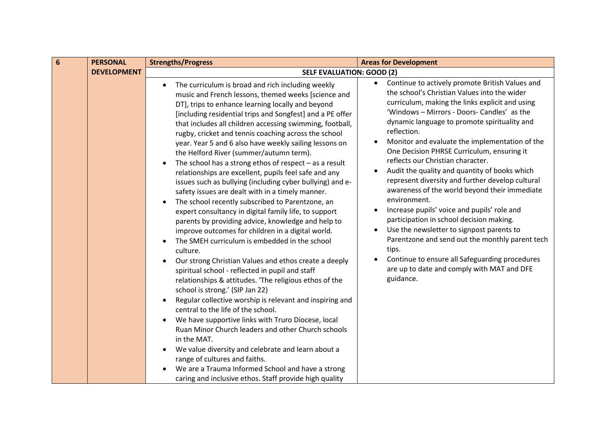| $6\phantom{1}6$<br><b>PERSONAL</b>                     | <b>Strengths/Progress</b>                                                                                                                                                                                                                                                                                                                                                                                                                                                                                                                                                                                                                                                                                                                                                                                                                                                                                                                                                                                                                                                                                                                                                                                                                                                                                                                                                                                                                                                                                                                                                                                                               | <b>Areas for Development</b>                                                                                                                                                                                                                                                                                                                                                                                                                                                                                                                                                                                                                                                                                                                                                                                                                                                                              |
|--------------------------------------------------------|-----------------------------------------------------------------------------------------------------------------------------------------------------------------------------------------------------------------------------------------------------------------------------------------------------------------------------------------------------------------------------------------------------------------------------------------------------------------------------------------------------------------------------------------------------------------------------------------------------------------------------------------------------------------------------------------------------------------------------------------------------------------------------------------------------------------------------------------------------------------------------------------------------------------------------------------------------------------------------------------------------------------------------------------------------------------------------------------------------------------------------------------------------------------------------------------------------------------------------------------------------------------------------------------------------------------------------------------------------------------------------------------------------------------------------------------------------------------------------------------------------------------------------------------------------------------------------------------------------------------------------------------|-----------------------------------------------------------------------------------------------------------------------------------------------------------------------------------------------------------------------------------------------------------------------------------------------------------------------------------------------------------------------------------------------------------------------------------------------------------------------------------------------------------------------------------------------------------------------------------------------------------------------------------------------------------------------------------------------------------------------------------------------------------------------------------------------------------------------------------------------------------------------------------------------------------|
| <b>DEVELOPMENT</b><br><b>SELF EVALUATION: GOOD (2)</b> |                                                                                                                                                                                                                                                                                                                                                                                                                                                                                                                                                                                                                                                                                                                                                                                                                                                                                                                                                                                                                                                                                                                                                                                                                                                                                                                                                                                                                                                                                                                                                                                                                                         |                                                                                                                                                                                                                                                                                                                                                                                                                                                                                                                                                                                                                                                                                                                                                                                                                                                                                                           |
|                                                        | The curriculum is broad and rich including weekly<br>$\bullet$<br>music and French lessons, themed weeks [science and<br>DT], trips to enhance learning locally and beyond<br>[including residential trips and Songfest] and a PE offer<br>that includes all children accessing swimming, football,<br>rugby, cricket and tennis coaching across the school<br>year. Year 5 and 6 also have weekly sailing lessons on<br>the Helford River (summer/autumn term).<br>The school has a strong ethos of respect $-$ as a result<br>relationships are excellent, pupils feel safe and any<br>issues such as bullying (including cyber bullying) and e-<br>safety issues are dealt with in a timely manner.<br>The school recently subscribed to Parentzone, an<br>expert consultancy in digital family life, to support<br>parents by providing advice, knowledge and help to<br>improve outcomes for children in a digital world.<br>The SMEH curriculum is embedded in the school<br>culture.<br>Our strong Christian Values and ethos create a deeply<br>spiritual school - reflected in pupil and staff<br>relationships & attitudes. 'The religious ethos of the<br>school is strong.' (SIP Jan 22)<br>Regular collective worship is relevant and inspiring and<br>central to the life of the school.<br>We have supportive links with Truro Diocese, local<br>Ruan Minor Church leaders and other Church schools<br>in the MAT.<br>We value diversity and celebrate and learn about a<br>range of cultures and faiths.<br>We are a Trauma Informed School and have a strong<br>caring and inclusive ethos. Staff provide high quality | Continue to actively promote British Values and<br>the school's Christian Values into the wider<br>curriculum, making the links explicit and using<br>'Windows - Mirrors - Doors- Candles' as the<br>dynamic language to promote spirituality and<br>reflection.<br>Monitor and evaluate the implementation of the<br>One Decision PHRSE Curriculum, ensuring it<br>reflects our Christian character.<br>Audit the quality and quantity of books which<br>represent diversity and further develop cultural<br>awareness of the world beyond their immediate<br>environment.<br>Increase pupils' voice and pupils' role and<br>participation in school decision making.<br>Use the newsletter to signpost parents to<br>$\bullet$<br>Parentzone and send out the monthly parent tech<br>tips.<br>Continue to ensure all Safeguarding procedures<br>are up to date and comply with MAT and DFE<br>guidance. |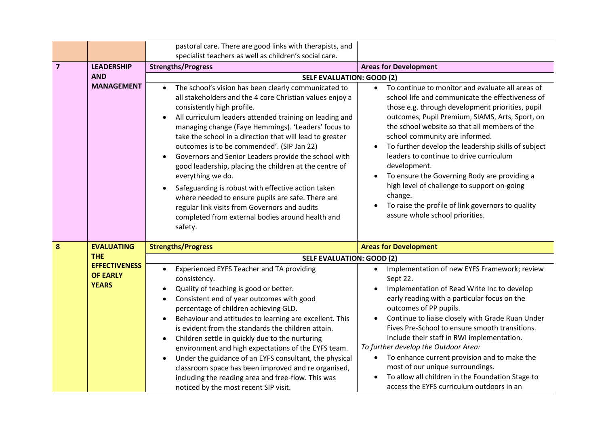|                |                                                         | pastoral care. There are good links with therapists, and<br>specialist teachers as well as children's social care.                                                                                                                                                                                                                                                                                                                                                                                                                                                                                                                                                                                                                                                                  |                                                                                                                                                                                                                                                                                                                                                                                                                                                                                                                                                                                                                    |
|----------------|---------------------------------------------------------|-------------------------------------------------------------------------------------------------------------------------------------------------------------------------------------------------------------------------------------------------------------------------------------------------------------------------------------------------------------------------------------------------------------------------------------------------------------------------------------------------------------------------------------------------------------------------------------------------------------------------------------------------------------------------------------------------------------------------------------------------------------------------------------|--------------------------------------------------------------------------------------------------------------------------------------------------------------------------------------------------------------------------------------------------------------------------------------------------------------------------------------------------------------------------------------------------------------------------------------------------------------------------------------------------------------------------------------------------------------------------------------------------------------------|
| $\overline{7}$ | <b>LEADERSHIP</b>                                       | <b>Strengths/Progress</b>                                                                                                                                                                                                                                                                                                                                                                                                                                                                                                                                                                                                                                                                                                                                                           | <b>Areas for Development</b>                                                                                                                                                                                                                                                                                                                                                                                                                                                                                                                                                                                       |
|                | <b>AND</b>                                              | <b>SELF EVALUATION: GOOD (2)</b>                                                                                                                                                                                                                                                                                                                                                                                                                                                                                                                                                                                                                                                                                                                                                    |                                                                                                                                                                                                                                                                                                                                                                                                                                                                                                                                                                                                                    |
|                | <b>MANAGEMENT</b>                                       | The school's vision has been clearly communicated to<br>$\bullet$<br>all stakeholders and the 4 core Christian values enjoy a<br>consistently high profile.<br>All curriculum leaders attended training on leading and<br>managing change (Faye Hemmings). 'Leaders' focus to<br>take the school in a direction that will lead to greater<br>outcomes is to be commended'. (SIP Jan 22)<br>Governors and Senior Leaders provide the school with<br>$\bullet$<br>good leadership, placing the children at the centre of<br>everything we do.<br>Safeguarding is robust with effective action taken<br>$\bullet$<br>where needed to ensure pupils are safe. There are<br>regular link visits from Governors and audits<br>completed from external bodies around health and<br>safety. | To continue to monitor and evaluate all areas of<br>school life and communicate the effectiveness of<br>those e.g. through development priorities, pupil<br>outcomes, Pupil Premium, SIAMS, Arts, Sport, on<br>the school website so that all members of the<br>school community are informed.<br>To further develop the leadership skills of subject<br>leaders to continue to drive curriculum<br>development.<br>To ensure the Governing Body are providing a<br>high level of challenge to support on-going<br>change.<br>To raise the profile of link governors to quality<br>assure whole school priorities. |
| 8              | <b>EVALUATING</b>                                       | <b>Strengths/Progress</b>                                                                                                                                                                                                                                                                                                                                                                                                                                                                                                                                                                                                                                                                                                                                                           | <b>Areas for Development</b>                                                                                                                                                                                                                                                                                                                                                                                                                                                                                                                                                                                       |
|                | <b>THE</b>                                              | <b>SELF EVALUATION: GOOD (2)</b>                                                                                                                                                                                                                                                                                                                                                                                                                                                                                                                                                                                                                                                                                                                                                    |                                                                                                                                                                                                                                                                                                                                                                                                                                                                                                                                                                                                                    |
|                | <b>EFFECTIVENESS</b><br><b>OF EARLY</b><br><b>YEARS</b> | Experienced EYFS Teacher and TA providing<br>$\bullet$<br>consistency.<br>Quality of teaching is good or better.<br>$\bullet$<br>Consistent end of year outcomes with good<br>percentage of children achieving GLD.<br>Behaviour and attitudes to learning are excellent. This<br>$\bullet$<br>is evident from the standards the children attain.<br>Children settle in quickly due to the nurturing<br>$\bullet$<br>environment and high expectations of the EYFS team.<br>Under the guidance of an EYFS consultant, the physical<br>$\bullet$<br>classroom space has been improved and re organised,<br>including the reading area and free-flow. This was<br>noticed by the most recent SIP visit.                                                                               | Implementation of new EYFS Framework; review<br>$\bullet$<br>Sept 22.<br>Implementation of Read Write Inc to develop<br>early reading with a particular focus on the<br>outcomes of PP pupils.<br>Continue to liaise closely with Grade Ruan Under<br>Fives Pre-School to ensure smooth transitions.<br>Include their staff in RWI implementation.<br>To further develop the Outdoor Area:<br>To enhance current provision and to make the<br>most of our unique surroundings.<br>To allow all children in the Foundation Stage to<br>access the EYFS curriculum outdoors in an                                    |